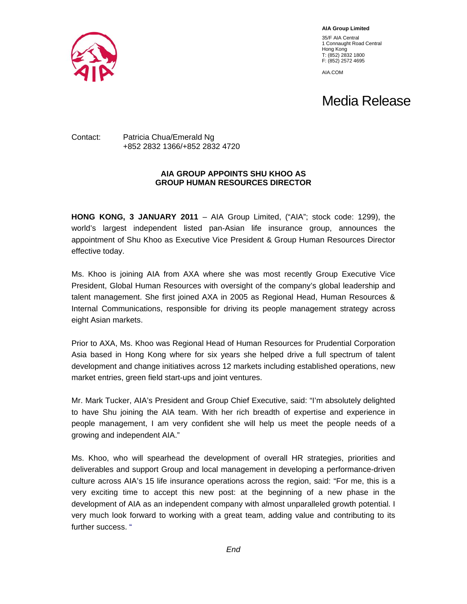

**AIA Group Limited** 

35/F AIA Central 1 Connaught Road Central Hong Kong T: (852) 2832 1800 F: (852) 2572 4695

AIA.COM

## Media Release

## Contact: Patricia Chua/Emerald Ng +852 2832 1366/+852 2832 4720

## **AIA GROUP APPOINTS SHU KHOO AS GROUP HUMAN RESOURCES DIRECTOR**

**HONG KONG, 3 JANUARY 2011** – AIA Group Limited, ("AIA"; stock code: 1299), the world's largest independent listed pan-Asian life insurance group, announces the appointment of Shu Khoo as Executive Vice President & Group Human Resources Director effective today.

Ms. Khoo is joining AIA from AXA where she was most recently Group Executive Vice President, Global Human Resources with oversight of the company's global leadership and talent management. She first joined AXA in 2005 as Regional Head, Human Resources & Internal Communications, responsible for driving its people management strategy across eight Asian markets.

Prior to AXA, Ms. Khoo was Regional Head of Human Resources for Prudential Corporation Asia based in Hong Kong where for six years she helped drive a full spectrum of talent development and change initiatives across 12 markets including established operations, new market entries, green field start-ups and joint ventures.

Mr. Mark Tucker, AIA's President and Group Chief Executive, said: "I'm absolutely delighted to have Shu joining the AIA team. With her rich breadth of expertise and experience in people management, I am very confident she will help us meet the people needs of a growing and independent AIA."

Ms. Khoo, who will spearhead the development of overall HR strategies, priorities and deliverables and support Group and local management in developing a performance-driven culture across AIA's 15 life insurance operations across the region, said: "For me, this is a very exciting time to accept this new post: at the beginning of a new phase in the development of AIA as an independent company with almost unparalleled growth potential. I very much look forward to working with a great team, adding value and contributing to its further success. "